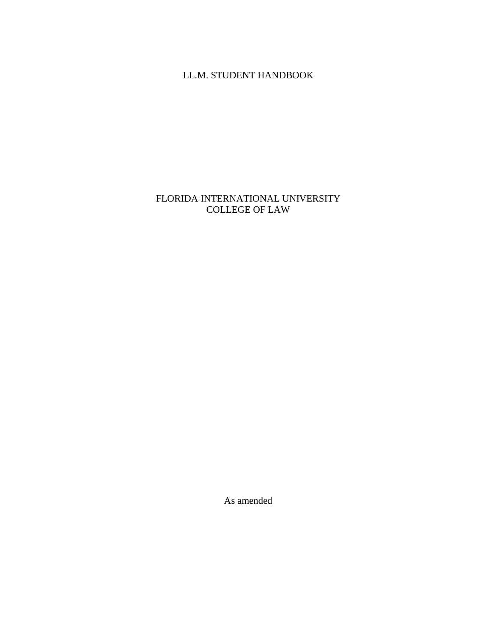## LL.M. STUDENT HANDBOOK

### FLORIDA INTERNATIONAL UNIVERSITY COLLEGE OF LAW

As amended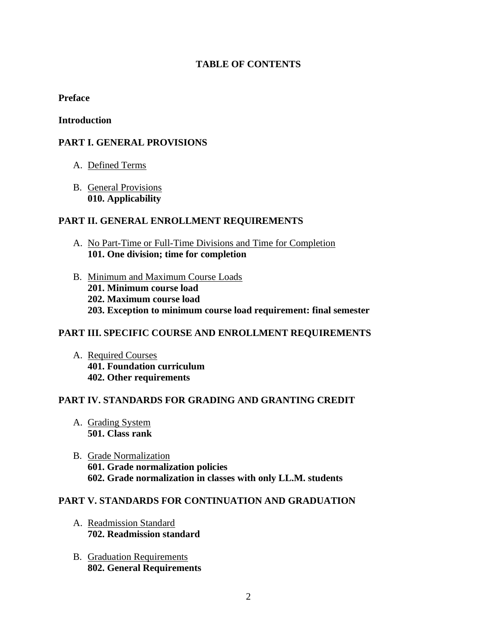### **TABLE OF CONTENTS**

#### **Preface**

#### **Introduction**

### **PART I. GENERAL PROVISIONS**

- A. Defined Terms
- B. General Provisions **010. Applicability**

#### **PART II. GENERAL ENROLLMENT REQUIREMENTS**

- A. No Part-Time or Full-Time Divisions and Time for Completion **101. One division; time for completion**
- B. Minimum and Maximum Course Loads **201. Minimum course load 202. Maximum course load 203. Exception to minimum course load requirement: final semester**

#### **PART III. SPECIFIC COURSE AND ENROLLMENT REQUIREMENTS**

A. Required Courses **401. Foundation curriculum 402. Other requirements**

#### **PART IV. STANDARDS FOR GRADING AND GRANTING CREDIT**

- A. Grading System **501. Class rank**
- B. Grade Normalization **601. Grade normalization policies 602. Grade normalization in classes with only LL.M. students**

#### **PART V. STANDARDS FOR CONTINUATION AND GRADUATION**

- A. Readmission Standard **702. Readmission standard**
- B. Graduation Requirements **802. General Requirements**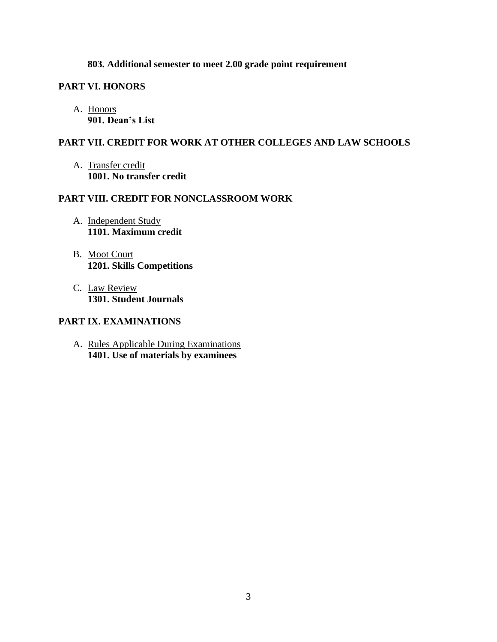#### **803. Additional semester to meet 2.00 grade point requirement**

### **PART VI. HONORS**

A. Honors **901. Dean's List**

#### **PART VII. CREDIT FOR WORK AT OTHER COLLEGES AND LAW SCHOOLS**

A. Transfer credit **1001. No transfer credit**

### **PART VIII. CREDIT FOR NONCLASSROOM WORK**

- A. Independent Study **1101. Maximum credit**
- B. Moot Court **1201. Skills Competitions**
- C. Law Review **1301. Student Journals**

### **PART IX. EXAMINATIONS**

A. Rules Applicable During Examinations **1401. Use of materials by examinees**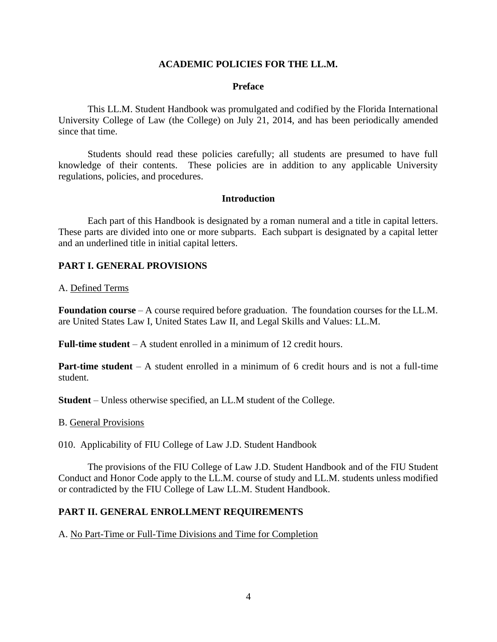#### **ACADEMIC POLICIES FOR THE LL.M.**

#### **Preface**

This LL.M. Student Handbook was promulgated and codified by the Florida International University College of Law (the College) on July 21, 2014, and has been periodically amended since that time.

Students should read these policies carefully; all students are presumed to have full knowledge of their contents. These policies are in addition to any applicable University regulations, policies, and procedures.

#### **Introduction**

Each part of this Handbook is designated by a roman numeral and a title in capital letters. These parts are divided into one or more subparts. Each subpart is designated by a capital letter and an underlined title in initial capital letters.

### **PART I. GENERAL PROVISIONS**

#### A. Defined Terms

**Foundation course** – A course required before graduation. The foundation courses for the LL.M. are United States Law I, United States Law II, and Legal Skills and Values: LL.M.

**Full-time student** – A student enrolled in a minimum of 12 credit hours.

**Part-time student** – A student enrolled in a minimum of 6 credit hours and is not a full-time student.

**Student** – Unless otherwise specified, an LL.M student of the College.

#### B. General Provisions

010. Applicability of FIU College of Law J.D. Student Handbook

The provisions of the FIU College of Law J.D. Student Handbook and of the FIU Student Conduct and Honor Code apply to the LL.M. course of study and LL.M. students unless modified or contradicted by the FIU College of Law LL.M. Student Handbook.

#### **PART II. GENERAL ENROLLMENT REQUIREMENTS**

A. No Part-Time or Full-Time Divisions and Time for Completion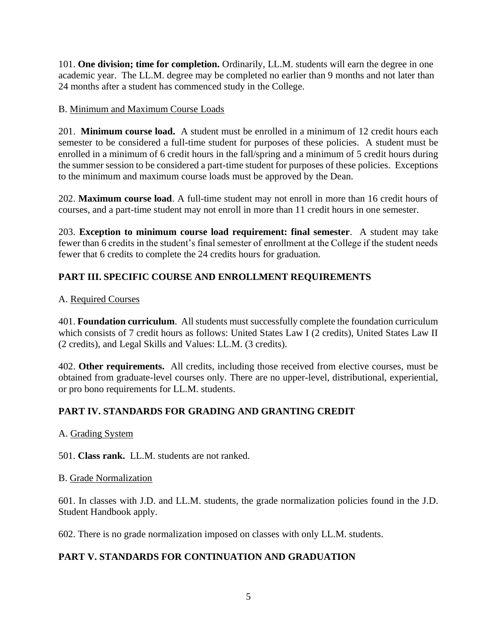101. **One division; time for completion.** Ordinarily, LL.M. students will earn the degree in one academic year. The LL.M. degree may be completed no earlier than 9 months and not later than 24 months after a student has commenced study in the College.

### B. Minimum and Maximum Course Loads

201. **Minimum course load.** A student must be enrolled in a minimum of 12 credit hours each semester to be considered a full-time student for purposes of these policies. A student must be enrolled in a minimum of 6 credit hours in the fall/spring and a minimum of 5 credit hours during the summer session to be considered a part-time student for purposes of these policies. Exceptions to the minimum and maximum course loads must be approved by the Dean.

202. **Maximum course load**. A full-time student may not enroll in more than 16 credit hours of courses, and a part-time student may not enroll in more than 11 credit hours in one semester.

203. **Exception to minimum course load requirement: final semester**. A student may take fewer than 6 credits in the student's final semester of enrollment at the College if the student needs fewer that 6 credits to complete the 24 credits hours for graduation.

# **PART III. SPECIFIC COURSE AND ENROLLMENT REQUIREMENTS**

## A. Required Courses

401. **Foundation curriculum**. All students must successfully complete the foundation curriculum which consists of 7 credit hours as follows: United States Law I (2 credits), United States Law II (2 credits), and Legal Skills and Values: LL.M. (3 credits).

402. **Other requirements.** All credits, including those received from elective courses, must be obtained from graduate-level courses only. There are no upper-level, distributional, experiential, or pro bono requirements for LL.M. students.

## **PART IV. STANDARDS FOR GRADING AND GRANTING CREDIT**

### A. Grading System

501. **Class rank.** LL.M. students are not ranked.

### B. Grade Normalization

601. In classes with J.D. and LL.M. students, the grade normalization policies found in the J.D. Student Handbook apply.

602. There is no grade normalization imposed on classes with only LL.M. students.

# **PART V. STANDARDS FOR CONTINUATION AND GRADUATION**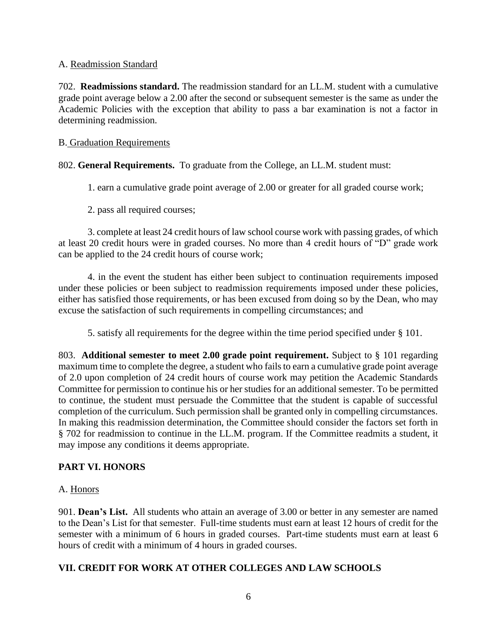#### A. Readmission Standard

702. **Readmissions standard.** The readmission standard for an LL.M. student with a cumulative grade point average below a 2.00 after the second or subsequent semester is the same as under the Academic Policies with the exception that ability to pass a bar examination is not a factor in determining readmission.

#### B. Graduation Requirements

802. **General Requirements.** To graduate from the College, an LL.M. student must:

1. earn a cumulative grade point average of 2.00 or greater for all graded course work;

2. pass all required courses;

3. complete at least 24 credit hours of law school course work with passing grades, of which at least 20 credit hours were in graded courses. No more than 4 credit hours of "D" grade work can be applied to the 24 credit hours of course work;

4. in the event the student has either been subject to continuation requirements imposed under these policies or been subject to readmission requirements imposed under these policies, either has satisfied those requirements, or has been excused from doing so by the Dean, who may excuse the satisfaction of such requirements in compelling circumstances; and

5. satisfy all requirements for the degree within the time period specified under § 101.

803. **Additional semester to meet 2.00 grade point requirement.** Subject to § 101 regarding maximum time to complete the degree, a student who fails to earn a cumulative grade point average of 2.0 upon completion of 24 credit hours of course work may petition the Academic Standards Committee for permission to continue his or her studies for an additional semester. To be permitted to continue, the student must persuade the Committee that the student is capable of successful completion of the curriculum. Such permission shall be granted only in compelling circumstances. In making this readmission determination, the Committee should consider the factors set forth in § 702 for readmission to continue in the LL.M. program. If the Committee readmits a student, it may impose any conditions it deems appropriate.

### **PART VI. HONORS**

#### A. Honors

901. **Dean's List.** All students who attain an average of 3.00 or better in any semester are named to the Dean's List for that semester. Full-time students must earn at least 12 hours of credit for the semester with a minimum of 6 hours in graded courses. Part-time students must earn at least 6 hours of credit with a minimum of 4 hours in graded courses.

#### **VII. CREDIT FOR WORK AT OTHER COLLEGES AND LAW SCHOOLS**